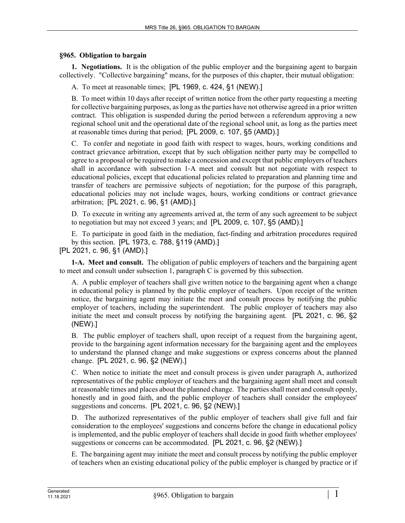#### **§965. Obligation to bargain**

**1. Negotiations.** It is the obligation of the public employer and the bargaining agent to bargain collectively. "Collective bargaining" means, for the purposes of this chapter, their mutual obligation:

A. To meet at reasonable times; [PL 1969, c. 424, §1 (NEW).]

B. To meet within 10 days after receipt of written notice from the other party requesting a meeting for collective bargaining purposes, as long as the parties have not otherwise agreed in a prior written contract. This obligation is suspended during the period between a referendum approving a new regional school unit and the operational date of the regional school unit, as long as the parties meet at reasonable times during that period; [PL 2009, c. 107, §5 (AMD).]

C. To confer and negotiate in good faith with respect to wages, hours, working conditions and contract grievance arbitration, except that by such obligation neither party may be compelled to agree to a proposal or be required to make a concession and except that public employers of teachers shall in accordance with subsection 1‑A meet and consult but not negotiate with respect to educational policies, except that educational policies related to preparation and planning time and transfer of teachers are permissive subjects of negotiation; for the purpose of this paragraph, educational policies may not include wages, hours, working conditions or contract grievance arbitration; [PL 2021, c. 96, §1 (AMD).]

D. To execute in writing any agreements arrived at, the term of any such agreement to be subject to negotiation but may not exceed 3 years; and [PL 2009, c. 107, §5 (AMD).]

E. To participate in good faith in the mediation, fact-finding and arbitration procedures required by this section. [PL 1973, c. 788, §119 (AMD).]

**1-A. Meet and consult.** The obligation of public employers of teachers and the bargaining agent to meet and consult under subsection 1, paragraph C is governed by this subsection.

A. A public employer of teachers shall give written notice to the bargaining agent when a change in educational policy is planned by the public employer of teachers. Upon receipt of the written notice, the bargaining agent may initiate the meet and consult process by notifying the public employer of teachers, including the superintendent. The public employer of teachers may also initiate the meet and consult process by notifying the bargaining agent. [PL 2021, c. 96, §2 (NEW).]

B. The public employer of teachers shall, upon receipt of a request from the bargaining agent, provide to the bargaining agent information necessary for the bargaining agent and the employees to understand the planned change and make suggestions or express concerns about the planned change. [PL 2021, c. 96, §2 (NEW).]

C. When notice to initiate the meet and consult process is given under paragraph A, authorized representatives of the public employer of teachers and the bargaining agent shall meet and consult at reasonable times and places about the planned change. The parties shall meet and consult openly, honestly and in good faith, and the public employer of teachers shall consider the employees' suggestions and concerns. [PL 2021, c. 96, §2 (NEW).]

D. The authorized representatives of the public employer of teachers shall give full and fair consideration to the employees' suggestions and concerns before the change in educational policy is implemented, and the public employer of teachers shall decide in good faith whether employees' suggestions or concerns can be accommodated. [PL 2021, c. 96, §2 (NEW).]

E. The bargaining agent may initiate the meet and consult process by notifying the public employer of teachers when an existing educational policy of the public employer is changed by practice or if

<sup>[</sup>PL 2021, c. 96, §1 (AMD).]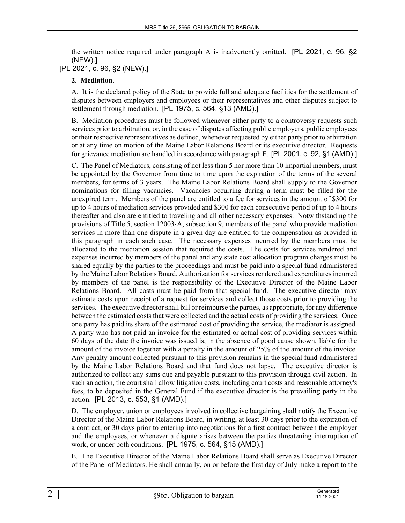the written notice required under paragraph A is inadvertently omitted. [PL 2021, c. 96, §2 (NEW).]

## [PL 2021, c. 96, §2 (NEW).]

#### **2. Mediation.**

A. It is the declared policy of the State to provide full and adequate facilities for the settlement of disputes between employers and employees or their representatives and other disputes subject to settlement through mediation. [PL 1975, c. 564, §13 (AMD).]

B. Mediation procedures must be followed whenever either party to a controversy requests such services prior to arbitration, or, in the case of disputes affecting public employers, public employees or their respective representatives as defined, whenever requested by either party prior to arbitration or at any time on motion of the Maine Labor Relations Board or its executive director. Requests for grievance mediation are handled in accordance with paragraph F. [PL 2001, c. 92, §1 (AMD).]

C. The Panel of Mediators, consisting of not less than 5 nor more than 10 impartial members, must be appointed by the Governor from time to time upon the expiration of the terms of the several members, for terms of 3 years. The Maine Labor Relations Board shall supply to the Governor nominations for filling vacancies. Vacancies occurring during a term must be filled for the unexpired term. Members of the panel are entitled to a fee for services in the amount of \$300 for up to 4 hours of mediation services provided and \$300 for each consecutive period of up to 4 hours thereafter and also are entitled to traveling and all other necessary expenses. Notwithstanding the provisions of Title 5, section 12003‑A, subsection 9, members of the panel who provide mediation services in more than one dispute in a given day are entitled to the compensation as provided in this paragraph in each such case. The necessary expenses incurred by the members must be allocated to the mediation session that required the costs. The costs for services rendered and expenses incurred by members of the panel and any state cost allocation program charges must be shared equally by the parties to the proceedings and must be paid into a special fund administered by the Maine Labor Relations Board. Authorization for services rendered and expenditures incurred by members of the panel is the responsibility of the Executive Director of the Maine Labor Relations Board. All costs must be paid from that special fund. The executive director may estimate costs upon receipt of a request for services and collect those costs prior to providing the services. The executive director shall bill or reimburse the parties, as appropriate, for any difference between the estimated costs that were collected and the actual costs of providing the services. Once one party has paid its share of the estimated cost of providing the service, the mediator is assigned. A party who has not paid an invoice for the estimated or actual cost of providing services within 60 days of the date the invoice was issued is, in the absence of good cause shown, liable for the amount of the invoice together with a penalty in the amount of 25% of the amount of the invoice. Any penalty amount collected pursuant to this provision remains in the special fund administered by the Maine Labor Relations Board and that fund does not lapse. The executive director is authorized to collect any sums due and payable pursuant to this provision through civil action. In such an action, the court shall allow litigation costs, including court costs and reasonable attorney's fees, to be deposited in the General Fund if the executive director is the prevailing party in the action. [PL 2013, c. 553, §1 (AMD).]

D. The employer, union or employees involved in collective bargaining shall notify the Executive Director of the Maine Labor Relations Board, in writing, at least 30 days prior to the expiration of a contract, or 30 days prior to entering into negotiations for a first contract between the employer and the employees, or whenever a dispute arises between the parties threatening interruption of work, or under both conditions. [PL 1975, c. 564, §15 (AMD).]

E. The Executive Director of the Maine Labor Relations Board shall serve as Executive Director of the Panel of Mediators. He shall annually, on or before the first day of July make a report to the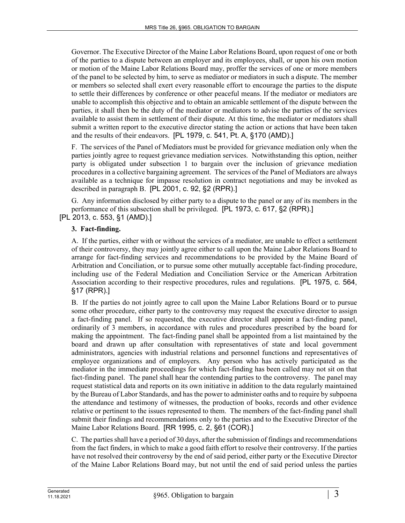Governor. The Executive Director of the Maine Labor Relations Board, upon request of one or both of the parties to a dispute between an employer and its employees, shall, or upon his own motion or motion of the Maine Labor Relations Board may, proffer the services of one or more members of the panel to be selected by him, to serve as mediator or mediators in such a dispute. The member or members so selected shall exert every reasonable effort to encourage the parties to the dispute to settle their differences by conference or other peaceful means. If the mediator or mediators are unable to accomplish this objective and to obtain an amicable settlement of the dispute between the parties, it shall then be the duty of the mediator or mediators to advise the parties of the services available to assist them in settlement of their dispute. At this time, the mediator or mediators shall submit a written report to the executive director stating the action or actions that have been taken and the results of their endeavors. [PL 1979, c. 541, Pt. A, §170 (AMD).]

F. The services of the Panel of Mediators must be provided for grievance mediation only when the parties jointly agree to request grievance mediation services. Notwithstanding this option, neither party is obligated under subsection 1 to bargain over the inclusion of grievance mediation procedures in a collective bargaining agreement. The services of the Panel of Mediators are always available as a technique for impasse resolution in contract negotiations and may be invoked as described in paragraph B. [PL 2001, c. 92, §2 (RPR).]

G. Any information disclosed by either party to a dispute to the panel or any of its members in the performance of this subsection shall be privileged. [PL 1973, c. 617, §2 (RPR).]

[PL 2013, c. 553, §1 (AMD).]

# **3. Fact-finding.**

A. If the parties, either with or without the services of a mediator, are unable to effect a settlement of their controversy, they may jointly agree either to call upon the Maine Labor Relations Board to arrange for fact-finding services and recommendations to be provided by the Maine Board of Arbitration and Conciliation, or to pursue some other mutually acceptable fact-finding procedure, including use of the Federal Mediation and Conciliation Service or the American Arbitration Association according to their respective procedures, rules and regulations. [PL 1975, c. 564, §17 (RPR).]

B. If the parties do not jointly agree to call upon the Maine Labor Relations Board or to pursue some other procedure, either party to the controversy may request the executive director to assign a fact-finding panel. If so requested, the executive director shall appoint a fact-finding panel, ordinarily of 3 members, in accordance with rules and procedures prescribed by the board for making the appointment. The fact-finding panel shall be appointed from a list maintained by the board and drawn up after consultation with representatives of state and local government administrators, agencies with industrial relations and personnel functions and representatives of employee organizations and of employers. Any person who has actively participated as the mediator in the immediate proceedings for which fact-finding has been called may not sit on that fact-finding panel. The panel shall hear the contending parties to the controversy. The panel may request statistical data and reports on its own initiative in addition to the data regularly maintained by the Bureau of Labor Standards, and has the power to administer oaths and to require by subpoena the attendance and testimony of witnesses, the production of books, records and other evidence relative or pertinent to the issues represented to them. The members of the fact-finding panel shall submit their findings and recommendations only to the parties and to the Executive Director of the Maine Labor Relations Board. [RR 1995, c. 2, §61 (COR).]

C. The parties shall have a period of 30 days, after the submission of findings and recommendations from the fact finders, in which to make a good faith effort to resolve their controversy. If the parties have not resolved their controversy by the end of said period, either party or the Executive Director of the Maine Labor Relations Board may, but not until the end of said period unless the parties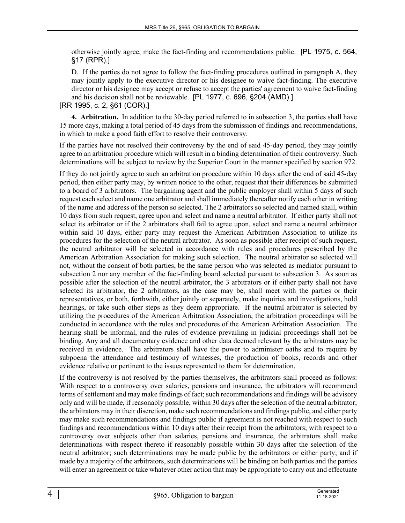otherwise jointly agree, make the fact-finding and recommendations public. [PL 1975, c. 564, §17 (RPR).]

D. If the parties do not agree to follow the fact-finding procedures outlined in paragraph A, they may jointly apply to the executive director or his designee to waive fact-finding. The executive director or his designee may accept or refuse to accept the parties' agreement to waive fact-finding and his decision shall not be reviewable. [PL 1977, c. 696, §204 (AMD).]

[RR 1995, c. 2, §61 (COR).]

**4. Arbitration.** In addition to the 30-day period referred to in subsection 3, the parties shall have 15 more days, making a total period of 45 days from the submission of findings and recommendations, in which to make a good faith effort to resolve their controversy.

If the parties have not resolved their controversy by the end of said 45-day period, they may jointly agree to an arbitration procedure which will result in a binding determination of their controversy. Such determinations will be subject to review by the Superior Court in the manner specified by section 972.

If they do not jointly agree to such an arbitration procedure within 10 days after the end of said 45-day period, then either party may, by written notice to the other, request that their differences be submitted to a board of 3 arbitrators. The bargaining agent and the public employer shall within 5 days of such request each select and name one arbitrator and shall immediately thereafter notify each other in writing of the name and address of the person so selected. The 2 arbitrators so selected and named shall, within 10 days from such request, agree upon and select and name a neutral arbitrator. If either party shall not select its arbitrator or if the 2 arbitrators shall fail to agree upon, select and name a neutral arbitrator within said 10 days, either party may request the American Arbitration Association to utilize its procedures for the selection of the neutral arbitrator. As soon as possible after receipt of such request, the neutral arbitrator will be selected in accordance with rules and procedures prescribed by the American Arbitration Association for making such selection. The neutral arbitrator so selected will not, without the consent of both parties, be the same person who was selected as mediator pursuant to subsection 2 nor any member of the fact-finding board selected pursuant to subsection 3. As soon as possible after the selection of the neutral arbitrator, the 3 arbitrators or if either party shall not have selected its arbitrator, the 2 arbitrators, as the case may be, shall meet with the parties or their representatives, or both, forthwith, either jointly or separately, make inquiries and investigations, hold hearings, or take such other steps as they deem appropriate. If the neutral arbitrator is selected by utilizing the procedures of the American Arbitration Association, the arbitration proceedings will be conducted in accordance with the rules and procedures of the American Arbitration Association. The hearing shall be informal, and the rules of evidence prevailing in judicial proceedings shall not be binding. Any and all documentary evidence and other data deemed relevant by the arbitrators may be received in evidence. The arbitrators shall have the power to administer oaths and to require by subpoena the attendance and testimony of witnesses, the production of books, records and other evidence relative or pertinent to the issues represented to them for determination.

If the controversy is not resolved by the parties themselves, the arbitrators shall proceed as follows: With respect to a controversy over salaries, pensions and insurance, the arbitrators will recommend terms of settlement and may make findings of fact; such recommendations and findings will be advisory only and will be made, if reasonably possible, within 30 days after the selection of the neutral arbitrator; the arbitrators may in their discretion, make such recommendations and findings public, and either party may make such recommendations and findings public if agreement is not reached with respect to such findings and recommendations within 10 days after their receipt from the arbitrators; with respect to a controversy over subjects other than salaries, pensions and insurance, the arbitrators shall make determinations with respect thereto if reasonably possible within 30 days after the selection of the neutral arbitrator; such determinations may be made public by the arbitrators or either party; and if made by a majority of the arbitrators, such determinations will be binding on both parties and the parties will enter an agreement or take whatever other action that may be appropriate to carry out and effectuate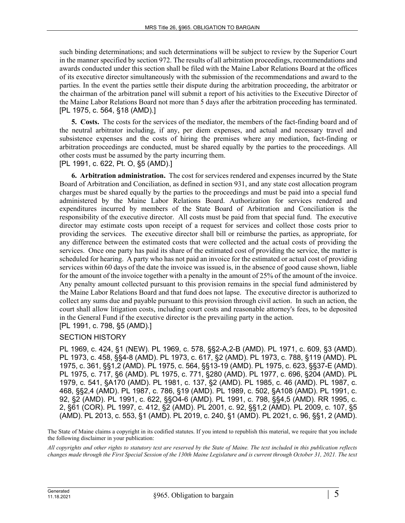such binding determinations; and such determinations will be subject to review by the Superior Court in the manner specified by section 972. The results of all arbitration proceedings, recommendations and awards conducted under this section shall be filed with the Maine Labor Relations Board at the offices of its executive director simultaneously with the submission of the recommendations and award to the parties. In the event the parties settle their dispute during the arbitration proceeding, the arbitrator or the chairman of the arbitration panel will submit a report of his activities to the Executive Director of the Maine Labor Relations Board not more than 5 days after the arbitration proceeding has terminated. [PL 1975, c. 564, §18 (AMD).]

**5. Costs.** The costs for the services of the mediator, the members of the fact-finding board and of the neutral arbitrator including, if any, per diem expenses, and actual and necessary travel and subsistence expenses and the costs of hiring the premises where any mediation, fact-finding or arbitration proceedings are conducted, must be shared equally by the parties to the proceedings. All other costs must be assumed by the party incurring them.

[PL 1991, c. 622, Pt. O, §5 (AMD).]

**6. Arbitration administration.** The cost for services rendered and expenses incurred by the State Board of Arbitration and Conciliation, as defined in section 931, and any state cost allocation program charges must be shared equally by the parties to the proceedings and must be paid into a special fund administered by the Maine Labor Relations Board. Authorization for services rendered and expenditures incurred by members of the State Board of Arbitration and Conciliation is the responsibility of the executive director. All costs must be paid from that special fund. The executive director may estimate costs upon receipt of a request for services and collect those costs prior to providing the services. The executive director shall bill or reimburse the parties, as appropriate, for any difference between the estimated costs that were collected and the actual costs of providing the services. Once one party has paid its share of the estimated cost of providing the service, the matter is scheduled for hearing. A party who has not paid an invoice for the estimated or actual cost of providing services within 60 days of the date the invoice was issued is, in the absence of good cause shown, liable for the amount of the invoice together with a penalty in the amount of 25% of the amount of the invoice. Any penalty amount collected pursuant to this provision remains in the special fund administered by the Maine Labor Relations Board and that fund does not lapse. The executive director is authorized to collect any sums due and payable pursuant to this provision through civil action. In such an action, the court shall allow litigation costs, including court costs and reasonable attorney's fees, to be deposited in the General Fund if the executive director is the prevailing party in the action.

[PL 1991, c. 798, §5 (AMD).]

### SECTION HISTORY

PL 1969, c. 424, §1 (NEW). PL 1969, c. 578, §§2-A,2-B (AMD). PL 1971, c. 609, §3 (AMD). PL 1973, c. 458, §§4-8 (AMD). PL 1973, c. 617, §2 (AMD). PL 1973, c. 788, §119 (AMD). PL 1975, c. 361, §§1,2 (AMD). PL 1975, c. 564, §§13-19 (AMD). PL 1975, c. 623, §§37-E (AMD). PL 1975, c. 717, §6 (AMD). PL 1975, c. 771, §280 (AMD). PL 1977, c. 696, §204 (AMD). PL 1979, c. 541, §A170 (AMD). PL 1981, c. 137, §2 (AMD). PL 1985, c. 46 (AMD). PL 1987, c. 468, §§2,4 (AMD). PL 1987, c. 786, §19 (AMD). PL 1989, c. 502, §A108 (AMD). PL 1991, c. 92, §2 (AMD). PL 1991, c. 622, §§O4-6 (AMD). PL 1991, c. 798, §§4,5 (AMD). RR 1995, c. 2, §61 (COR). PL 1997, c. 412, §2 (AMD). PL 2001, c. 92, §§1,2 (AMD). PL 2009, c. 107, §5 (AMD). PL 2013, c. 553, §1 (AMD). PL 2019, c. 240, §1 (AMD). PL 2021, c. 96, §§1, 2 (AMD).

The State of Maine claims a copyright in its codified statutes. If you intend to republish this material, we require that you include the following disclaimer in your publication:

*All copyrights and other rights to statutory text are reserved by the State of Maine. The text included in this publication reflects changes made through the First Special Session of the 130th Maine Legislature and is current through October 31, 2021. The text*